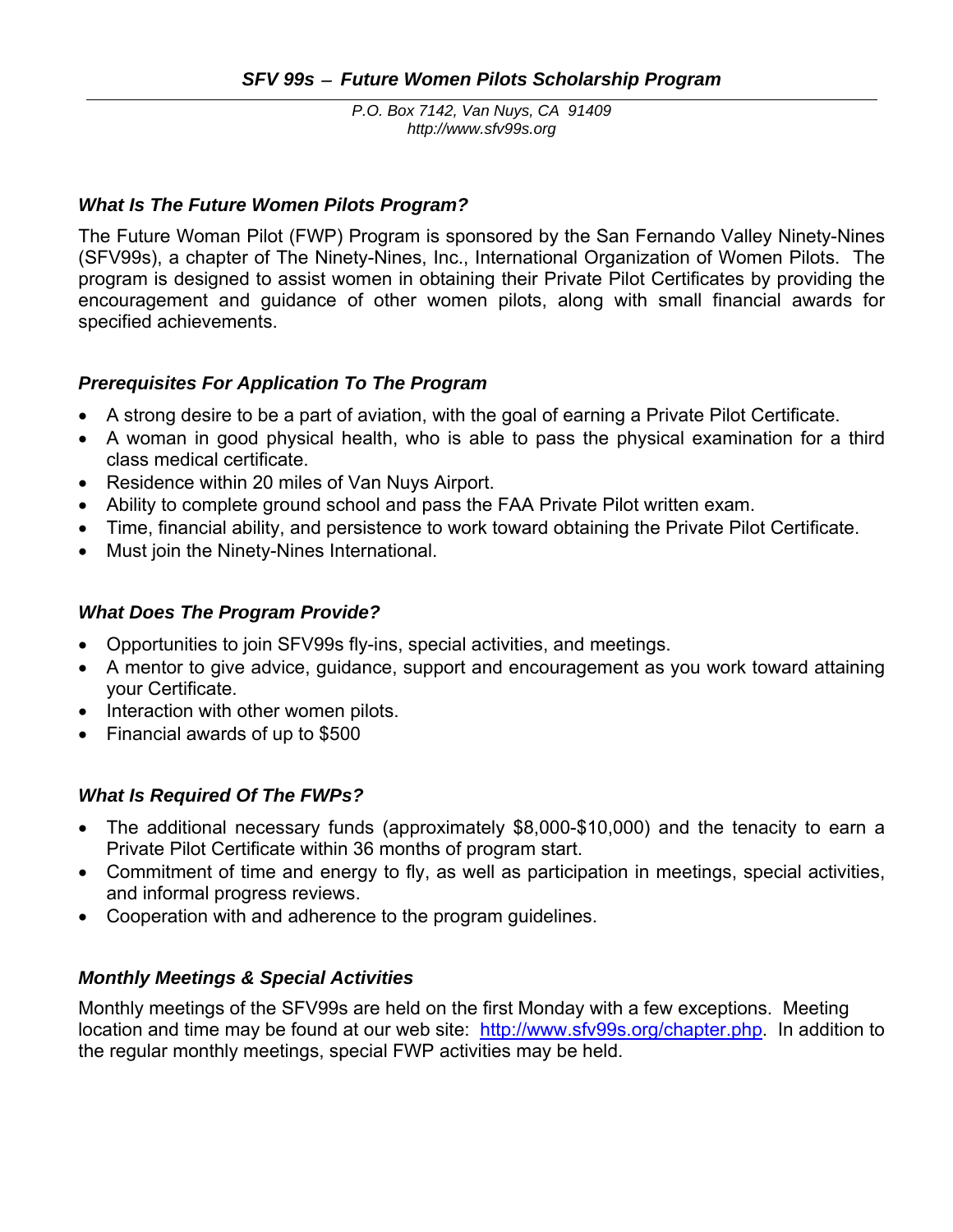*P.O. Box 7142, Van Nuys, CA 91409 http://www.sfv99s.org* 

## *What Is The Future Women Pilots Program?*

The Future Woman Pilot (FWP) Program is sponsored by the San Fernando Valley Ninety-Nines (SFV99s), a chapter of The Ninety-Nines, Inc., International Organization of Women Pilots. The program is designed to assist women in obtaining their Private Pilot Certificates by providing the encouragement and guidance of other women pilots, along with small financial awards for specified achievements.

## *Prerequisites For Application To The Program*

- A strong desire to be a part of aviation, with the goal of earning a Private Pilot Certificate.
- A woman in good physical health, who is able to pass the physical examination for a third class medical certificate.
- Residence within 20 miles of Van Nuys Airport.
- Ability to complete ground school and pass the FAA Private Pilot written exam.
- Time, financial ability, and persistence to work toward obtaining the Private Pilot Certificate.
- Must join the Ninety-Nines International.

## *What Does The Program Provide?*

- Opportunities to join SFV99s fly-ins, special activities, and meetings.
- A mentor to give advice, guidance, support and encouragement as you work toward attaining your Certificate.
- Interaction with other women pilots.
- Financial awards of up to \$500

# *What Is Required Of The FWPs?*

- The additional necessary funds (approximately \$8,000-\$10,000) and the tenacity to earn a Private Pilot Certificate within 36 months of program start.
- Commitment of time and energy to fly, as well as participation in meetings, special activities, and informal progress reviews.
- Cooperation with and adherence to the program guidelines.

# *Monthly Meetings & Special Activities*

Monthly meetings of the SFV99s are held on the first Monday with a few exceptions. Meeting location and time may be found at our web site: http://www.sfv99s.org/chapter.php. In addition to the regular monthly meetings, special FWP activities may be held.